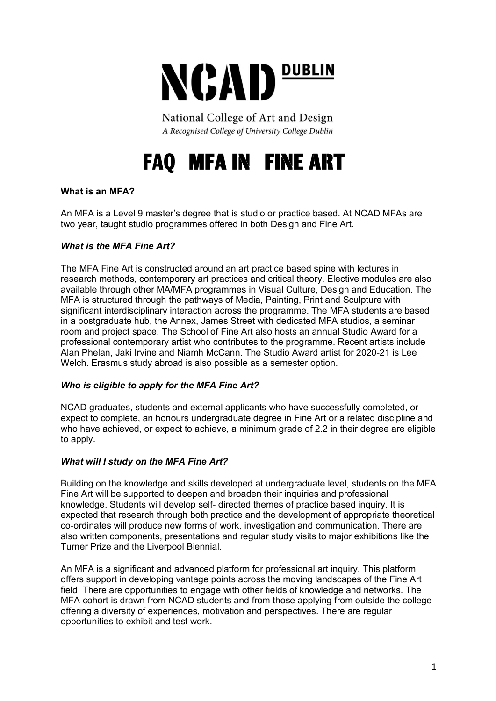

National College of Art and Design A Recognised College of University College Dublin

# **FAQ MFA IN FINE ART**

# **What is an MFA?**

An MFA is a Level 9 master's degree that is studio or practice based. At NCAD MFAs are two year, taught studio programmes offered in both Design and Fine Art.

## *What is the MFA Fine Art?*

The MFA Fine Art is constructed around an art practice based spine with lectures in research methods, contemporary art practices and critical theory. Elective modules are also available through other MA/MFA programmes in Visual Culture, Design and Education. The MFA is structured through the pathways of Media, Painting, Print and Sculpture with significant interdisciplinary interaction across the programme. The MFA students are based in a postgraduate hub, the Annex, James Street with dedicated MFA studios, a seminar room and project space. The School of Fine Art also hosts an annual Studio Award for a professional contemporary artist who contributes to the programme. Recent artists include Alan Phelan, Jaki Irvine and Niamh McCann. The Studio Award artist for 2020-21 is Lee Welch. Erasmus study abroad is also possible as a semester option.

#### *Who is eligible to apply for the MFA Fine Art?*

NCAD graduates, students and external applicants who have successfully completed, or expect to complete, an honours undergraduate degree in Fine Art or a related discipline and who have achieved, or expect to achieve, a minimum grade of 2.2 in their degree are eligible to apply.

#### *What will I study on the MFA Fine Art?*

Building on the knowledge and skills developed at undergraduate level, students on the MFA Fine Art will be supported to deepen and broaden their inquiries and professional knowledge. Students will develop self- directed themes of practice based inquiry. It is expected that research through both practice and the development of appropriate theoretical co-ordinates will produce new forms of work, investigation and communication. There are also written components, presentations and regular study visits to major exhibitions like the Turner Prize and the Liverpool Biennial.

An MFA is a significant and advanced platform for professional art inquiry. This platform offers support in developing vantage points across the moving landscapes of the Fine Art field. There are opportunities to engage with other fields of knowledge and networks. The MFA cohort is drawn from NCAD students and from those applying from outside the college offering a diversity of experiences, motivation and perspectives. There are regular opportunities to exhibit and test work.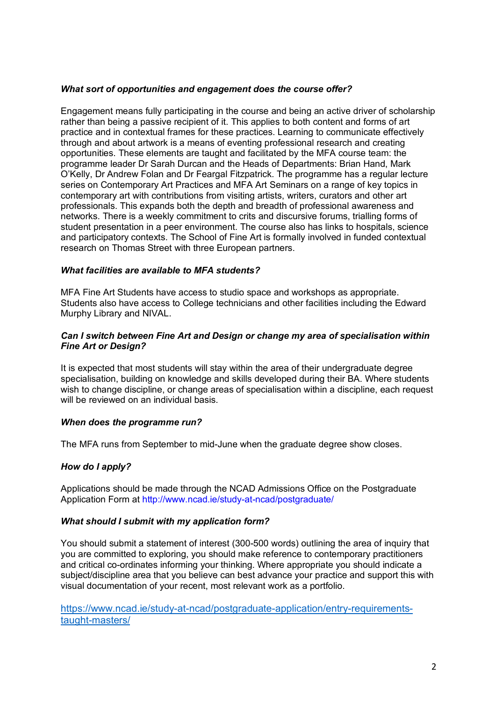#### *What sort of opportunities and engagement does the course offer?*

Engagement means fully participating in the course and being an active driver of scholarship rather than being a passive recipient of it. This applies to both content and forms of art practice and in contextual frames for these practices. Learning to communicate effectively through and about artwork is a means of eventing professional research and creating opportunities. These elements are taught and facilitated by the MFA course team: the programme leader Dr Sarah Durcan and the Heads of Departments: Brian Hand, Mark O'Kelly, Dr Andrew Folan and Dr Feargal Fitzpatrick. The programme has a regular lecture series on Contemporary Art Practices and MFA Art Seminars on a range of key topics in contemporary art with contributions from visiting artists, writers, curators and other art professionals. This expands both the depth and breadth of professional awareness and networks. There is a weekly commitment to crits and discursive forums, trialling forms of student presentation in a peer environment. The course also has links to hospitals, science and participatory contexts. The School of Fine Art is formally involved in funded contextual research on Thomas Street with three European partners.

## *What facilities are available to MFA students?*

MFA Fine Art Students have access to studio space and workshops as appropriate. Students also have access to College technicians and other facilities including the Edward Murphy Library and NIVAL.

#### *Can I switch between Fine Art and Design or change my area of specialisation within Fine Art or Design?*

It is expected that most students will stay within the area of their undergraduate degree specialisation, building on knowledge and skills developed during their BA. Where students wish to change discipline, or change areas of specialisation within a discipline, each request will be reviewed on an individual basis.

# *When does the programme run?*

The MFA runs from September to mid-June when the graduate degree show closes.

# *How do I apply?*

Applications should be made through the NCAD Admissions Office on the Postgraduate Application Form at http://www.ncad.ie/study-at-ncad/postgraduate/

#### *What should I submit with my application form?*

You should submit a statement of interest (300-500 words) outlining the area of inquiry that you are committed to exploring, you should make reference to contemporary practitioners and critical co-ordinates informing your thinking. Where appropriate you should indicate a subject/discipline area that you believe can best advance your practice and support this with visual documentation of your recent, most relevant work as a portfolio.

https://www.ncad.ie/study-at-ncad/postgraduate-application/entry-requirementstaught-masters/